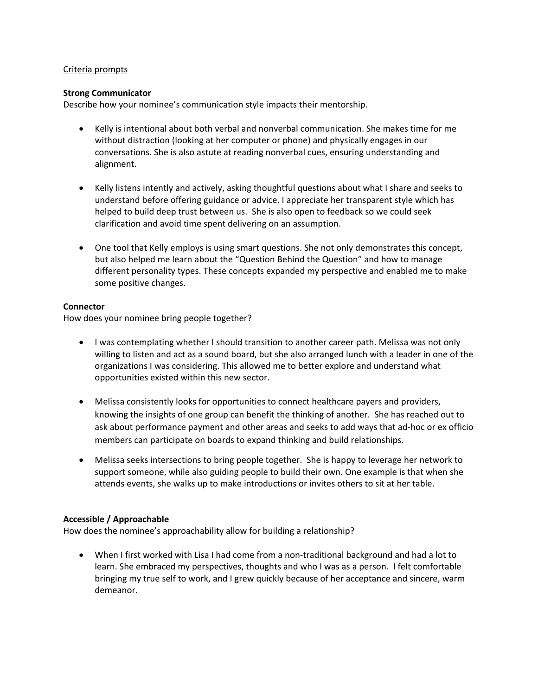#### Criteria prompts

#### **Strong Communicator**

Describe how your nominee's communication style impacts their mentorship.

- Kelly is intentional about both verbal and nonverbal communication. She makes time for me without distraction (looking at her computer or phone) and physically engages in our conversations. She is also astute at reading nonverbal cues, ensuring understanding and alignment.
- Kelly listens intently and actively, asking thoughtful questions about what I share and seeks to understand before offering guidance or advice. I appreciate her transparent style which has helped to build deep trust between us. She is also open to feedback so we could seek clarification and avoid time spent delivering on an assumption.
- One tool that Kelly employs is using smart questions. She not only demonstrates this concept, but also helped me learn about the "Question Behind the Question" and how to manage different personality types. These concepts expanded my perspective and enabled me to make some positive changes.

#### **Connector**

How does your nominee bring people together?

- I was contemplating whether I should transition to another career path. Melissa was not only willing to listen and act as a sound board, but she also arranged lunch with a leader in one of the organizations I was considering. This allowed me to better explore and understand what opportunities existed within this new sector.
- Melissa consistently looks for opportunities to connect healthcare payers and providers, knowing the insights of one group can benefit the thinking of another. She has reached out to ask about performance payment and other areas and seeks to add ways that ad-hoc or ex officio members can participate on boards to expand thinking and build relationships.
- Melissa seeks intersections to bring people together. She is happy to leverage her network to support someone, while also guiding people to build their own. One example is that when she attends events, she walks up to make introductions or invites others to sit at her table.

# **Accessible / Approachable**

How does the nominee's approachability allow for building a relationship?

• When I first worked with Lisa I had come from a non-traditional background and had a lot to learn. She embraced my perspectives, thoughts and who I was as a person. I felt comfortable bringing my true self to work, and I grew quickly because of her acceptance and sincere, warm demeanor.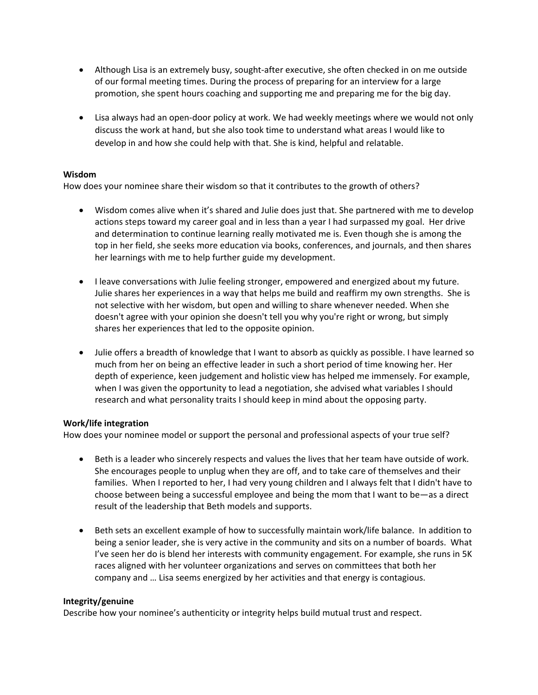- Although Lisa is an extremely busy, sought-after executive, she often checked in on me outside of our formal meeting times. During the process of preparing for an interview for a large promotion, she spent hours coaching and supporting me and preparing me for the big day.
- Lisa always had an open-door policy at work. We had weekly meetings where we would not only discuss the work at hand, but she also took time to understand what areas I would like to develop in and how she could help with that. She is kind, helpful and relatable.

# **Wisdom**

How does your nominee share their wisdom so that it contributes to the growth of others?

- Wisdom comes alive when it's shared and Julie does just that. She partnered with me to develop actions steps toward my career goal and in less than a year I had surpassed my goal. Her drive and determination to continue learning really motivated me is. Even though she is among the top in her field, she seeks more education via books, conferences, and journals, and then shares her learnings with me to help further guide my development.
- I leave conversations with Julie feeling stronger, empowered and energized about my future. Julie shares her experiences in a way that helps me build and reaffirm my own strengths. She is not selective with her wisdom, but open and willing to share whenever needed. When she doesn't agree with your opinion she doesn't tell you why you're right or wrong, but simply shares her experiences that led to the opposite opinion.
- Julie offers a breadth of knowledge that I want to absorb as quickly as possible. I have learned so much from her on being an effective leader in such a short period of time knowing her. Her depth of experience, keen judgement and holistic view has helped me immensely. For example, when I was given the opportunity to lead a negotiation, she advised what variables I should research and what personality traits I should keep in mind about the opposing party.

# **Work/life integration**

How does your nominee model or support the personal and professional aspects of your true self?

- Beth is a leader who sincerely respects and values the lives that her team have outside of work. She encourages people to unplug when they are off, and to take care of themselves and their families. When I reported to her, I had very young children and I always felt that I didn't have to choose between being a successful employee and being the mom that I want to be—as a direct result of the leadership that Beth models and supports.
- Beth sets an excellent example of how to successfully maintain work/life balance. In addition to being a senior leader, she is very active in the community and sits on a number of boards. What I've seen her do is blend her interests with community engagement. For example, she runs in 5K races aligned with her volunteer organizations and serves on committees that both her company and … Lisa seems energized by her activities and that energy is contagious.

# **Integrity/genuine**

Describe how your nominee's authenticity or integrity helps build mutual trust and respect.